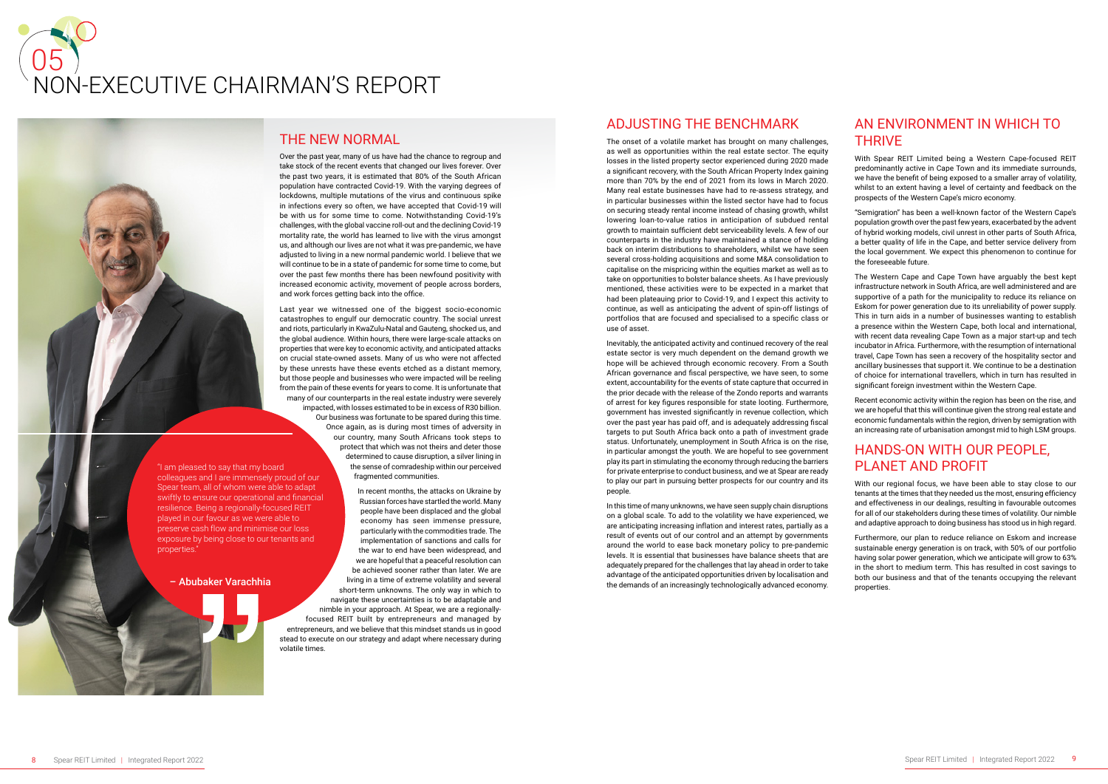#### – Abubaker Varachhia

"I am pleased to say that my board colleagues and I are immensely proud of our Spear team, all of whom were able to adapt swiftly to ensure our operational and financial resilience. Being a regionally-focused REIT played in our favour as we were able to preserve cash flow and minimise our loss exposure by being close to our tenants and properties."

## THE NEW NORMAL

Over the past year, many of us have had the chance to regroup and take stock of the recent events that changed our lives forever. Over the past two years, it is estimated that 80% of the South African population have contracted Covid-19. With the varying degrees of lockdowns, multiple mutations of the virus and continuous spike in infections every so often, we have accepted that Covid-19 will be with us for some time to come. Notwithstanding Covid-19's challenges, with the global vaccine roll-out and the declining Covid-19 mortality rate, the world has learned to live with the virus amongst us, and although our lives are not what it was pre-pandemic, we have adjusted to living in a new normal pandemic world. I believe that we will continue to be in a state of pandemic for some time to come, but over the past few months there has been newfound positivity with increased economic activity, movement of people across borders, and work forces getting back into the office.

Last year we witnessed one of the biggest socio-economic catastrophes to engulf our democratic country. The social unrest and riots, particularly in KwaZulu-Natal and Gauteng, shocked us, and the global audience. Within hours, there were large-scale attacks on properties that were key to economic activity, and anticipated attacks on crucial state-owned assets. Many of us who were not affected by these unrests have these events etched as a distant memory, but those people and businesses who were impacted will be reeling from the pain of these events for years to come. It is unfortunate that many of our counterparts in the real estate industry were severely impacted, with losses estimated to be in excess of R30 billion. Our business was fortunate to be spared during this time. Once again, as is during most times of adversity in our country, many South Africans took steps to protect that which was not theirs and deter those determined to cause disruption, a silver lining in the sense of comradeship within our perceived fragmented communities.

> In recent months, the attacks on Ukraine by Russian forces have startled the world. Many

people have been displaced and the global economy has seen immense pressure, particularly with the commodities trade. The implementation of sanctions and calls for the war to end have been widespread, and we are hopeful that a peaceful resolution can be achieved sooner rather than later. We are living in a time of extreme volatility and several short-term unknowns. The only way in which to navigate these uncertainties is to be adaptable and nimble in your approach. At Spear, we are a regionallyfocused REIT built by entrepreneurs and managed by entrepreneurs, and we believe that this mindset stands us in good stead to execute on our strategy and adapt where necessary during volatile times.

# AN ENVIRONMENT IN WHICH TO **THRIVE**

# 05 NON-EXECUTIVE CHAIRMAN'S REPORT



### ADJUSTING THE BENCHMARK

The onset of a volatile market has brought on many challenges, as well as opportunities within the real estate sector. The equity losses in the listed property sector experienced during 2020 made a significant recovery, with the South African Property Index gaining more than 70% by the end of 2021 from its lows in March 2020. Many real estate businesses have had to re-assess strategy, and in particular businesses within the listed sector have had to focus on securing steady rental income instead of chasing growth, whilst lowering loan-to-value ratios in anticipation of subdued rental growth to maintain sufficient debt serviceability levels. A few of our counterparts in the industry have maintained a stance of holding back on interim distributions to shareholders, whilst we have seen several cross-holding acquisitions and some M&A consolidation to capitalise on the mispricing within the equities market as well as to take on opportunities to bolster balance sheets. As I have previously mentioned, these activities were to be expected in a market that had been plateauing prior to Covid-19, and I expect this activity to continue, as well as anticipating the advent of spin-off listings of portfolios that are focused and specialised to a specific class or use of asset.

Inevitably, the anticipated activity and continued recovery of the real estate sector is very much dependent on the demand growth we hope will be achieved through economic recovery. From a South African governance and fiscal perspective, we have seen, to some extent, accountability for the events of state capture that occurred in the prior decade with the release of the Zondo reports and warrants of arrest for key figures responsible for state looting. Furthermore, government has invested significantly in revenue collection, which over the past year has paid off, and is adequately addressing fiscal targets to put South Africa back onto a path of investment grade status. Unfortunately, unemployment in South Africa is on the rise, in particular amongst the youth. We are hopeful to see government play its part in stimulating the economy through reducing the barriers for private enterprise to conduct business, and we at Spear are ready to play our part in pursuing better prospects for our country and its people.

In this time of many unknowns, we have seen supply chain disruptions on a global scale. To add to the volatility we have experienced, we are anticipating increasing inflation and interest rates, partially as a result of events out of our control and an attempt by governments around the world to ease back monetary policy to pre-pandemic levels. It is essential that businesses have balance sheets that are adequately prepared for the challenges that lay ahead in order to take advantage of the anticipated opportunities driven by localisation and the demands of an increasingly technologically advanced economy.

With Spear REIT Limited being a Western Cape-focused REIT predominantly active in Cape Town and its immediate surrounds, we have the benefit of being exposed to a smaller array of volatility, whilst to an extent having a level of certainty and feedback on the prospects of the Western Cape's micro economy.

"Semigration" has been a well-known factor of the Western Cape's population growth over the past few years, exacerbated by the advent of hybrid working models, civil unrest in other parts of South Africa, a better quality of life in the Cape, and better service delivery from the local government. We expect this phenomenon to continue for the foreseeable future.

The Western Cape and Cape Town have arguably the best kept infrastructure network in South Africa, are well administered and are supportive of a path for the municipality to reduce its reliance on Eskom for power generation due to its unreliability of power supply. This in turn aids in a number of businesses wanting to establish a presence within the Western Cape, both local and international, with recent data revealing Cape Town as a major start-up and tech incubator in Africa. Furthermore, with the resumption of international travel, Cape Town has seen a recovery of the hospitality sector and ancillary businesses that support it. We continue to be a destination of choice for international travellers, which in turn has resulted in significant foreign investment within the Western Cape.

Recent economic activity within the region has been on the rise, and we are hopeful that this will continue given the strong real estate and economic fundamentals within the region, driven by semigration with an increasing rate of urbanisation amongst mid to high LSM groups.

# HANDS-ON WITH OUR PEOPLE, PLANET AND PROFIT

With our regional focus, we have been able to stay close to our tenants at the times that they needed us the most, ensuring efficiency and effectiveness in our dealings, resulting in favourable outcomes for all of our stakeholders during these times of volatility. Our nimble and adaptive approach to doing business has stood us in high regard.

Furthermore, our plan to reduce reliance on Eskom and increase sustainable energy generation is on track, with 50% of our portfolio having solar power generation, which we anticipate will grow to 63% in the short to medium term. This has resulted in cost savings to both our business and that of the tenants occupying the relevant properties.